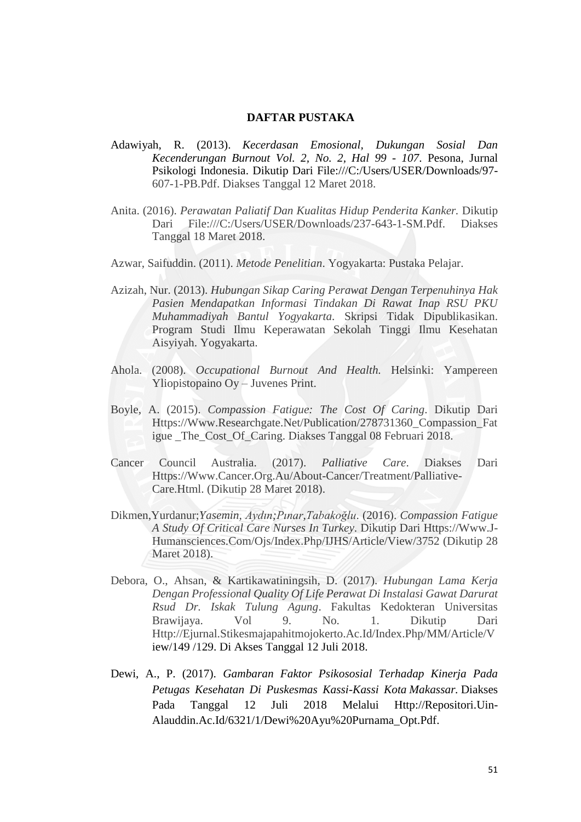## **DAFTAR PUSTAKA**

- Adawiyah, R. (2013). *Kecerdasan Emosional, Dukungan Sosial Dan Kecenderungan Burnout Vol. 2, No. 2, Hal 99 - 107*. Pesona, Jurnal Psikologi Indonesia. Dikutip Dari [File:///C:/Users/USER/Downloads/97-](file:///C:/Users/USER/AppData/Roaming/Microsoft/AppData/Roaming/Lenovo/AppData/Lenovo/AppData/Lenovo/AppData/USER/Downloads/97-607-1-PB.pdf) [607-1-PB.Pdf. D](file:///C:/Users/USER/AppData/Roaming/Microsoft/AppData/Roaming/Lenovo/AppData/Lenovo/AppData/Lenovo/AppData/USER/Downloads/97-607-1-PB.pdf)iakses Tanggal 12 Maret 2018.
- Anita. (2016). *Perawatan Paliatif Dan Kualitas Hidup Penderita Kanker.* Dikutip Dari [File:///C:/Users/USER/Downloads/237-643-1-SM.Pdf. D](file:///C:/Users/USER/AppData/Roaming/Microsoft/AppData/Roaming/Lenovo/AppData/Lenovo/AppData/Lenovo/AppData/USER/Downloads/237-643-1-SM.pdf)iakses Tanggal 18 Maret 2018.
- Azwar, Saifuddin. (2011). *Metode Penelitian*. Yogyakarta: Pustaka Pelajar.
- Azizah, Nur. (2013). *Hubungan Sikap Caring Perawat Dengan Terpenuhinya Hak Pasien Mendapatkan Informasi Tindakan Di Rawat Inap RSU PKU Muhammadiyah Bantul Yogyakarta.* Skripsi Tidak Dipublikasikan. Program Studi Ilmu Keperawatan Sekolah Tinggi Ilmu Kesehatan Aisyiyah. Yogyakarta.
- Ahola. (2008). *Occupational Burnout And Health.* Helsinki: Yampereen Yliopistopaino Oy – Juvenes Print.
- Boyle, A. (2015). *Compassion Fatigue: The Cost Of Caring*. Dikutip Dari [Https://Www.Researchgate.Net/Publication/278731360\\_Compassion\\_Fat](https://www.researchgate.net/publication/278731360_Compassion_fatigue_The_cost_of_caring) [igue](https://www.researchgate.net/publication/278731360_Compassion_fatigue_The_cost_of_caring) [\\_The\\_Cost\\_Of\\_Caring. D](https://www.researchgate.net/publication/278731360_Compassion_fatigue_The_cost_of_caring)iakses Tanggal 08 Februari 2018.
- Cancer Council Australia. (2017). *Palliative Care*. Diakses Dari [Https://Www.Cancer.Org.Au/About-Cancer/Treatment/Palliative-](https://www.cancer.org.au/about-cancer/treatment/palliative-care.html)[Care.Html.](https://www.cancer.org.au/about-cancer/treatment/palliative-care.html) (Dikutip 28 Maret 2018).
- Dikmen,Yurdanur;*Yasemin, Aydın;Pınar,Tabakoğlu*. (2016). *Compassion Fatigue A Study Of Critical Care Nurses In Turkey*. Dikutip Dari [Https://Www.J-](https://www.j-humansciences.com/ojs/index.php/IJHS/article/view/3752)[Humansciences.Com/Ojs/Index.Php/IJHS/Article/View/3752 \(](https://www.j-humansciences.com/ojs/index.php/IJHS/article/view/3752)Dikutip 28 Maret 2018).
- Debora, O., Ahsan, & Kartikawatiningsih, D. (2017). *Hubungan Lama Kerja Dengan Professional Quality Of Life Perawat Di Instalasi Gawat Darurat Rsud Dr. Iskak Tulung Agung*. Fakultas Kedokteran Universitas Brawijaya. Vol 9. No. 1. Dikutip Dari [Http://Ejurnal.Stikesmajapahitmojokerto.Ac.Id/Index.Php/MM/Article/V](http://ejurnal.stikesmajapahitmojokerto.ac.id/index.php/MM/article/view/149/129) [iew/149](http://ejurnal.stikesmajapahitmojokerto.ac.id/index.php/MM/article/view/149/129) [/129. D](http://ejurnal.stikesmajapahitmojokerto.ac.id/index.php/MM/article/view/149/129)i Akses Tanggal 12 Juli 2018.
- Dewi, A., P. (2017). *Gambaran Faktor Psikososial Terhadap Kinerja Pada Petugas Kesehatan Di Puskesmas Kassi-Kassi Kota Makassar.* Diakses Pada Tanggal 12 Juli 2018 Melalui [Http://Repositori.Uin-](http://repositori.uin-alauddin.ac.id/6321/1/Dewi%20Ayu%20Purnama_opt.pdf)[Alauddin.Ac.Id/6321/1/Dewi%20Ayu%20Purnama\\_Opt.Pdf.](http://repositori.uin-alauddin.ac.id/6321/1/Dewi%20Ayu%20Purnama_opt.pdf)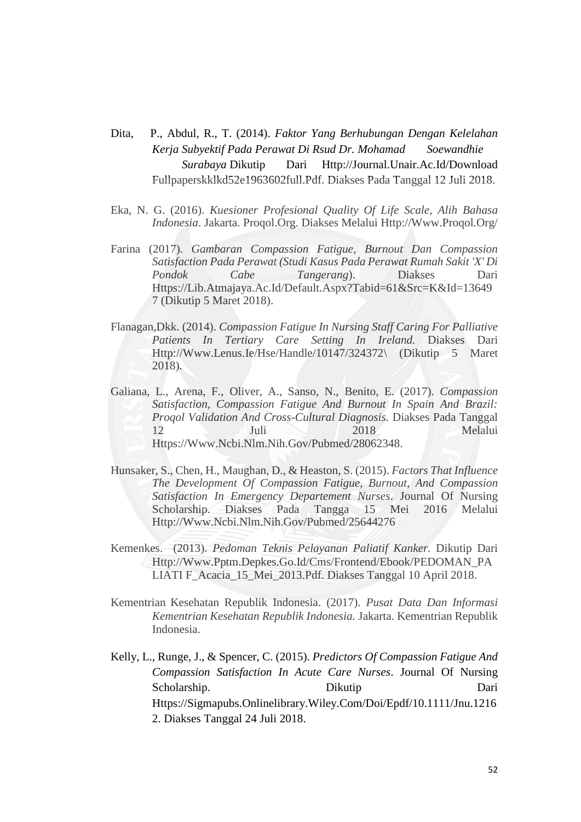- Dita, P., Abdul, R., T. (2014). *Faktor Yang Berhubungan Dengan Kelelahan Kerja Subyektif Pada Perawat Di Rsud Dr. Mohamad Soewandhie Surabaya* Dikutip Dari [Http://Journal.Unair.Ac.Id/Download](http://journal.unair.ac.id/Download%20Fullpaperskklkd52e1963602full.Pdf.)  [Fullpaperskklkd52e1963602full.Pdf.](http://journal.unair.ac.id/Download%20Fullpaperskklkd52e1963602full.Pdf.) Diakses Pada Tanggal 12 Juli 2018.
- Eka, N. G. (2016). *Kuesioner Profesional Quality Of Life Scale, Alih Bahasa Indonesia*. Jakarta. Proqol.Org. Diakses Melalui [Http://Www.Proqol.Org/](http://www.proqol.org/)
- Farina (2017). *Gambaran Compassion Fatigue, Burnout Dan Compassion Satisfaction Pada Perawat (Studi Kasus Pada Perawat Rumah Sakit 'X' Di Pondok Cabe Tangerang*). Diakses Dari [Https://Lib.Atmajaya.Ac.Id/Default.Aspx?Tabid=61&Src=K&Id=13649](https://lib.atmajaya.ac.id/default.aspx?tabID=61&src=k&id=136497) [7](https://lib.atmajaya.ac.id/default.aspx?tabID=61&src=k&id=136497) (Dikutip 5 Maret 2018).
- Flanagan,Dkk. (2014). *Compassion Fatigue In Nursing Staff Caring For Palliative Patients In Tertiary Care Setting In Ireland.* Diakses Dari [Http://Www.Lenus.Ie/Hse/Handle/10147/324372\](http://www.lenus.ie/hse/handle/10147/324372/) (Dikutip 5 Maret 2018).
- Galiana, L., Arena, F., Oliver, A., Sanso, N., Benito, E. (2017). *Compassion Satisfaction, Compassion Fatigue And Burnout In Spain And Brazil: Proqol Validation And Cross-Cultural Diagnosis.* Diakses Pada Tanggal 12 Juli 2018 Melalui [Https://Www.Ncbi.Nlm.Nih.Gov/Pubmed/28062348.](https://www.ncbi.nlm.nih.gov/pubmed/28062348)
- Hunsaker, S., Chen, H., Maughan, D., & Heaston, S. (2015). *Factors That Influence The Development Of Compassion Fatigue, Burnout, And Compassion Satisfaction In Emergency Departement Nurses*. Journal Of Nursing Scholarship. Diakses Pada Tangga 15 Mei 2016 Melalui [Http://Www.Ncbi.Nlm.Nih.Gov/Pubmed/25644276](http://www.ncbi.nlm.nih.gov/pubmed/25644276)
- Kemenkes. (2013). *Pedoman Teknis Pelayanan Paliatif Kanker.* Dikutip Dari [Http://Www.Pptm.Depkes.Go.Id/Cms/Frontend/Ebook/PEDOMAN\\_PA](http://www.pptm.depkes.go.id/cms/frontend/ebook/PEDOMAN_PALIATIF_acacia_15_Mei_2013.pdf) [LIATI](http://www.pptm.depkes.go.id/cms/frontend/ebook/PEDOMAN_PALIATIF_acacia_15_Mei_2013.pdf) [F\\_Acacia\\_15\\_Mei\\_2013.Pdf. D](http://www.pptm.depkes.go.id/cms/frontend/ebook/PEDOMAN_PALIATIF_acacia_15_Mei_2013.pdf)iakses Tanggal 10 April 2018.
- Kementrian Kesehatan Republik Indonesia. (2017). *Pusat Data Dan Informasi Kementrian Kesehatan Republik Indonesia.* Jakarta. Kementrian Republik Indonesia.
- Kelly, L., Runge, J., & Spencer, C. (2015). *Predictors Of Compassion Fatigue And Compassion Satisfaction In Acute Care Nurses*. Journal Of Nursing Scholarship. Dikutip Dikutip Dari [Https://Sigmapubs.Onlinelibrary.Wiley.Com/Doi/Epdf/10.1111/Jnu.1216](https://sigmapubs.onlinelibrary.wiley.com/doi/epdf/10.1111/jnu.12162) [2.](https://sigmapubs.onlinelibrary.wiley.com/doi/epdf/10.1111/jnu.12162) Diakses Tanggal 24 Juli 2018.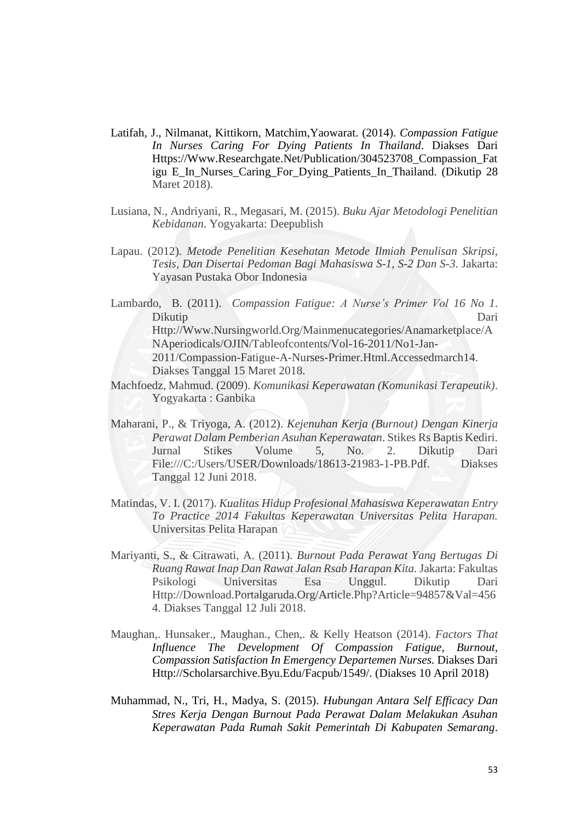- Latifah, J., Nilmanat, Kittikorn, Matchim,Yaowarat. (2014). *Compassion Fatigue In Nurses Caring For Dying Patients In Thailand*. Diakses Dari [Https://Www.Researchgate.Net/Publication/304523708\\_Compassion\\_Fat](https://www.researchgate.net/publication/304523708_Compassion_Fatigue_in_Nurses_Caring_for_Dying_Patients_in_Thailand) [igu](https://www.researchgate.net/publication/304523708_Compassion_Fatigue_in_Nurses_Caring_for_Dying_Patients_in_Thailand) [E\\_In\\_Nurses\\_Caring\\_For\\_Dying\\_Patients\\_In\\_Thailand. \(](https://www.researchgate.net/publication/304523708_Compassion_Fatigue_in_Nurses_Caring_for_Dying_Patients_in_Thailand)Dikutip 28 Maret 2018).
- Lusiana, N., Andriyani, R., Megasari, M. (2015). *Buku Ajar Metodologi Penelitian Kebidanan*. Yogyakarta: Deepublish
- Lapau. (2012). *Metode Penelitian Kesehatan Metode Ilmiah Penulisan Skripsi, Tesis, Dan Disertai Pedoman Bagi Mahasiswa S-1, S-2 Dan S-3*. Jakarta: Yayasan Pustaka Obor Indonesia
- Lambardo, B. (2011). *Compassion Fatigue: A Nurse's Primer Vol 16 No 1*. Dikutip Dari [Http://Www.Nursingworld.Org/Mainmenucategories/Anamarketplace/A](http://www.nursingworld.org/MainMenuCategories/ANAMarketplace/ANAPeriodicals/OJIN/TableofContents/Vol-16-2011/No1-Jan-2011/Compassion-Fatigue-A-Nurses-Primer.html.AccessedMarch14) [NAperiodicals/OJIN/Tableofcontents/Vol-16-2011/No1-Jan-](http://www.nursingworld.org/MainMenuCategories/ANAMarketplace/ANAPeriodicals/OJIN/TableofContents/Vol-16-2011/No1-Jan-2011/Compassion-Fatigue-A-Nurses-Primer.html.AccessedMarch14)[2011/Compassion-Fatigue-A-Nurses-Primer.Html.Accessedmarch14.](http://www.nursingworld.org/MainMenuCategories/ANAMarketplace/ANAPeriodicals/OJIN/TableofContents/Vol-16-2011/No1-Jan-2011/Compassion-Fatigue-A-Nurses-Primer.html.AccessedMarch14) Diakses Tanggal 15 Maret 2018.
- Machfoedz, Mahmud. (2009). *Komunikasi Keperawatan (Komunikasi Terapeutik)*. Yogyakarta : Ganbika
- Maharani, P., & Triyoga, A. (2012). *Kejenuhan Kerja (Burnout) Dengan Kinerja Perawat Dalam Pemberian Asuhan Keperawatan*. Stikes Rs Baptis Kediri. Jurnal Stikes Volume 5, No. 2. Dikutip Dari [File:///C:/Users/USER/Downloads/18613-21983-1-PB.Pdf. D](file:///C:/Users/USER/AppData/Roaming/Microsoft/AppData/Roaming/Microsoft/Word/18613-21983-1-PB.pdf)iakses Tanggal 12 Juni 2018.
- Matindas, V. I. (2017). *Kualitas Hidup Profesional Mahasiswa Keperawatan Entry To Practice 2014 Fakultas Keperawatan Universitas Pelita Harapan.*  Universitas Pelita Harapan
- Mariyanti, S., & Citrawati, A. (2011). *Burnout Pada Perawat Yang Bertugas Di Ruang Rawat Inap Dan Rawat Jalan Rsab Harapan Kita.* Jakarta: Fakultas Psikologi Universitas Esa Unggul. Dikutip Dari [Http://Download.Portalgaruda.Org/Article.Php?Article=94857&Val=456](http://download.portalgaruda.org/article.php?article=94857&val=4564.%20Diakses%20tanggal%2012%20Juli%202018.) [4.](http://download.portalgaruda.org/article.php?article=94857&val=4564.%20Diakses%20tanggal%2012%20Juli%202018.) [Diakses Tanggal 12 Juli 2018.](http://download.portalgaruda.org/article.php?article=94857&val=4564.%20Diakses%20tanggal%2012%20Juli%202018.)
- Maughan,. Hunsaker., Maughan., Chen,. & Kelly Heatson (2014). *Factors That Influence The Development Of Compassion Fatigue, Burnout, Compassion Satisfaction In Emergency Departemen Nurses.* Diakses Dari [Http://Scholarsarchive.Byu.Edu/Facpub/1549/. \(](http://scholarsarchive.byu.edu/facpub/1549/)Diakses 10 April 2018)
- Muhammad, N., Tri, H., Madya, S. (2015). *Hubungan Antara Self Efficacy Dan Stres Kerja Dengan Burnout Pada Perawat Dalam Melakukan Asuhan Keperawatan Pada Rumah Sakit Pemerintah Di Kabupaten Semarang*.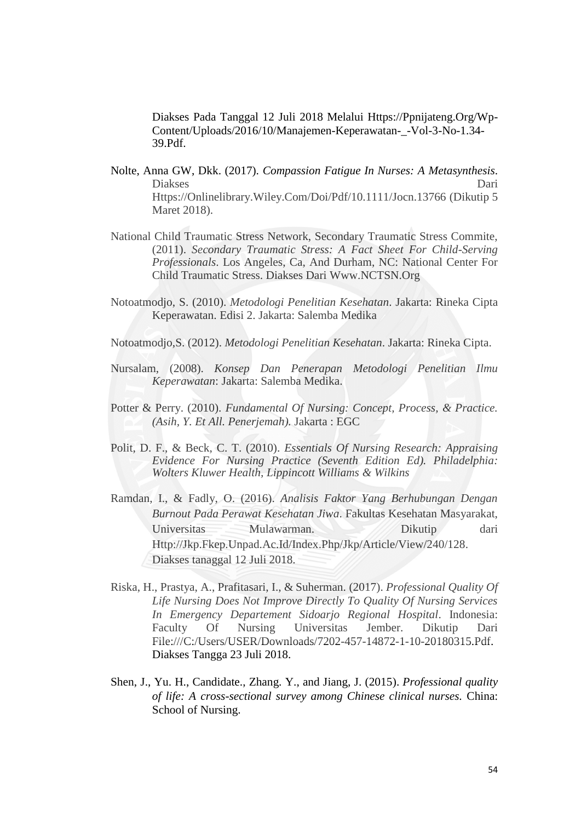Diakses Pada Tanggal 12 Juli 2018 Melalui [Https://Ppnijateng.Org/Wp-](https://ppnijateng.org/wp-content/uploads/2016/10/Manajemen-Keperawatan-_-Vol-3-No-1.34-39.pdf)[Content/Uploads/2016/10/Manajemen-Keperawatan-\\_-Vol-3-No-1.34-](https://ppnijateng.org/wp-content/uploads/2016/10/Manajemen-Keperawatan-_-Vol-3-No-1.34-39.pdf) [39.Pdf.](https://ppnijateng.org/wp-content/uploads/2016/10/Manajemen-Keperawatan-_-Vol-3-No-1.34-39.pdf)

- Nolte, Anna GW, Dkk. (2017). *Compassion Fatigue In Nurses: A Metasynthesis*. Diakses Dari [Https://Onlinelibrary.Wiley.Com/Doi/Pdf/10.1111/Jocn.13766](https://onlinelibrary.wiley.com/doi/pdf/10.1111/jocn.13766) (Dikutip 5 Maret 2018).
- National Child Traumatic Stress Network, Secondary Traumatic Stress Commite, (2011). *Secondary Traumatic Stress: A Fact Sheet For Child-Serving Professionals*. Los Angeles, Ca, And Durham, NC: National Center For Child Traumatic Stress. Diakses Dari [Www.NCTSN.Org](http://www.nctsn.org/)
- Notoatmodjo, S. (2010). *Metodologi Penelitian Kesehatan*. Jakarta: Rineka Cipta Keperawatan. Edisi 2. Jakarta: Salemba Medika
- Notoatmodjo,S. (2012). *Metodologi Penelitian Kesehatan*. Jakarta: Rineka Cipta.
- Nursalam, (2008). *Konsep Dan Penerapan Metodologi Penelitian Ilmu Keperawatan*: Jakarta: Salemba Medika.
- Potter & Perry. (2010). *Fundamental Of Nursing: Concept, Process, & Practice. (Asih, Y. Et All. Penerjemah).* Jakarta : EGC
- Polit, D. F., & Beck, C. T. (2010). *Essentials Of Nursing Research: Appraising Evidence For Nursing Practice (Seventh Edition Ed). Philadelphia: Wolters Kluwer Health, Lippincott Williams & Wilkins*
- Ramdan, I., & Fadly, O. (2016). *Analisis Faktor Yang Berhubungan Dengan Burnout Pada Perawat Kesehatan Jiwa*. Fakultas Kesehatan Masyarakat, Universitas Mulawarman. Dikutip dari [Http://Jkp.Fkep.Unpad.Ac.Id/Index.Php/Jkp/Article/View/240/128.](http://jkp.fkep.unpad.ac.id/Index.Php/Jkp/Article/View/240/128) Diakses tanaggal 12 Juli 2018.
- Riska, H., Prastya, A., Prafitasari, I., & Suherman. (2017). *Professional Quality Of Life Nursing Does Not Improve Directly To Quality Of Nursing Services In Emergency Departement Sidoarjo Regional Hospital*. Indonesia: Faculty Of Nursing Universitas Jember. Dikutip Dari [File:///C:/Users/USER/Downloads/7202-457-14872-1-10-20180315.Pdf.](file:///C:/Users/USER/AppData/Roaming/Microsoft/AppData/Roaming/Microsoft/Word/7202-457-14872-1-10-20180315.pdf)  Diakses Tangga 23 Juli 2018.
- Shen, J., Yu. H., Candidate., Zhang. Y., and Jiang, J. (2015). *Professional quality of life: A cross-sectional survey among Chinese clinical nurses.* China: School of Nursing.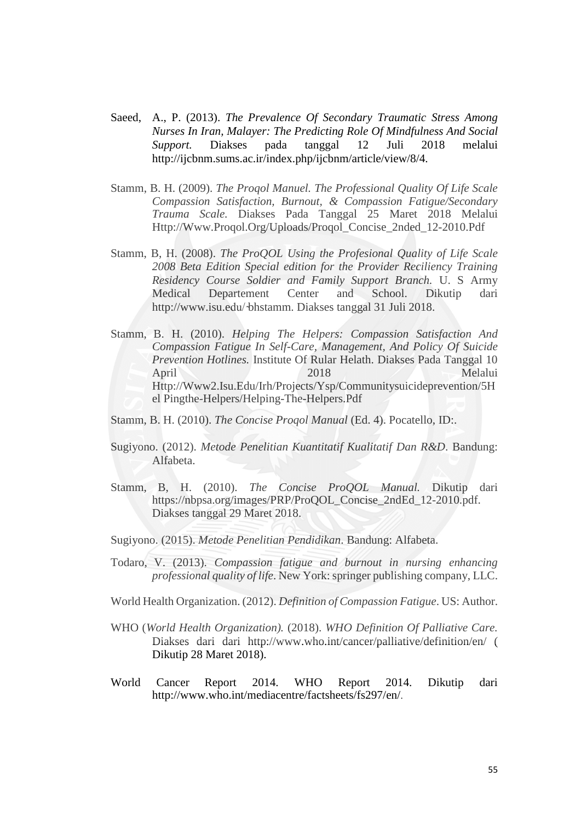- Saeed, A., P. (2013). *The Prevalence Of Secondary Traumatic Stress Among Nurses In Iran, Malayer: The Predicting Role Of Mindfulness And Social Support.* Diakses pada tanggal 12 Juli 2018 melalui [http://ijcbnm.sums.ac.ir/index.php/ijcbnm/article/view/8/4.](http://ijcbnm.sums.ac.ir/index.php/ijcbnm/article/view/8/4)
- Stamm, B. H. (2009). *The Proqol Manuel. The Professional Quality Of Life Scale Compassion Satisfaction, Burnout, & Compassion Fatigue/Secondary Trauma Scale.* Diakses Pada Tanggal 25 Maret 2018 Melalui [Http://Www.Proqol.Org/Uploads/Proqol\\_Concise\\_2nded\\_12-2010.Pdf](http://www.proqol.org/uploads/ProQoL_Concise_2ndEd_12-2010.pdf)
- Stamm, B, H. (2008). *The ProQOL Using the Profesional Quality of Life Scale 2008 Beta Edition Special edition for the Provider Reciliency Training Residency Course Soldier and Family Support Branch.* U. S Army Medical Departement Center and School. Dikutip dari http://www.isu.edu/ bhstamm. Diakses tanggal 31 Juli 2018.
- Stamm, B. H. (2010). *Helping The Helpers: Compassion Satisfaction And Compassion Fatigue In Self-Care, Management, And Policy Of Suicide Prevention Hotlines.* Institute Of Rular Helath. Diakses Pada Tanggal 10 April 2018 Melalui [Http://Www2.Isu.Edu/Irh/Projects/Ysp/Communitysuicideprevention/5H](http://www2.isu.edu/irh/projects/ysp/CommunitySuicidePrevention/5Hel%20pingthe-Helpers/Helping-the-Helpers.pdf) [el](http://www2.isu.edu/irh/projects/ysp/CommunitySuicidePrevention/5Hel%20pingthe-Helpers/Helping-the-Helpers.pdf) [Pingthe-Helpers/Helping-The-Helpers.Pdf](http://www2.isu.edu/irh/projects/ysp/CommunitySuicidePrevention/5Hel%20pingthe-Helpers/Helping-the-Helpers.pdf)

Stamm, B. H. (2010). *The Concise Proqol Manual* (Ed. 4). Pocatello, ID:.

- Sugiyono. (2012). *Metode Penelitian Kuantitatif Kualitatif Dan R&D*. Bandung: Alfabeta.
- Stamm, B, H. (2010). *The Concise ProQOL Manual.* Dikutip dari [https://nbpsa.org/images/PRP/ProQOL\\_Concise\\_2ndEd\\_12-2010.pdf.](https://nbpsa.org/images/PRP/ProQOL_Concise_2ndEd_12-2010.pdf) Diakses tanggal 29 Maret 2018.
- Sugiyono. (2015). *Metode Penelitian Pendidikan*. Bandung: Alfabeta.
- Todaro, V. (2013). *Compassion fatigue and burnout in nursing enhancing professional quality of life*. New York: springer publishing company, LLC.
- World Health Organization. (2012). *Definition of Compassion Fatigue*. US: Author.
- WHO (*World Health Organization).* (2018). *WHO Definition Of Palliative Care.* Diakses dari dari [http://www.who.int/cancer/palliative/definition/en/ \(](http://www.who.int/cancer/palliative/definition/en/) Dikutip 28 Maret 2018).
- World Cancer Report 2014. WHO Report 2014. Dikutip dari <http://www.who.int/mediacentre/factsheets/fs297/en/>.